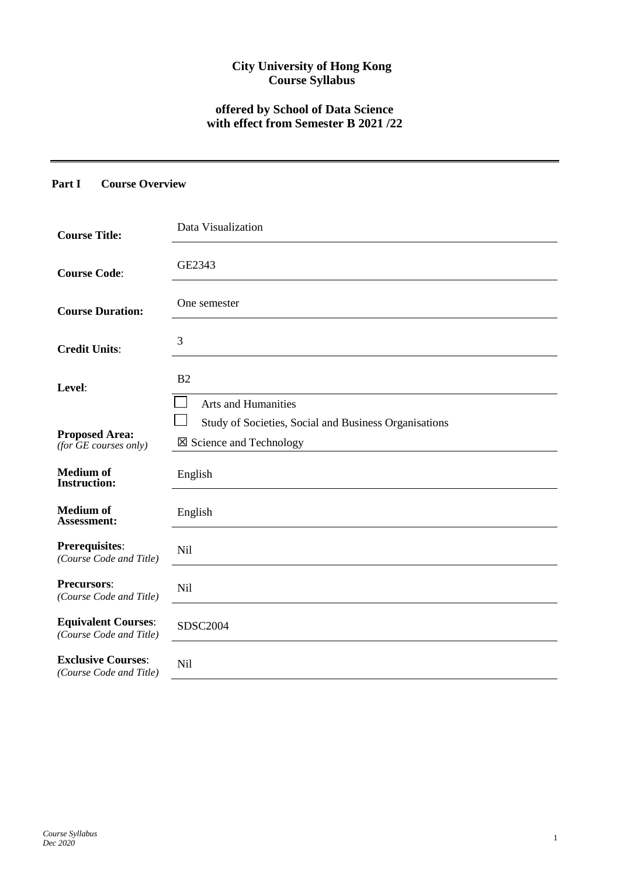# **City University of Hong Kong Course Syllabus**

# **offered by School of Data Science with effect from Semester B 2021 /22**

# **Part I Course Overview**

| <b>Course Title:</b>                                         | Data Visualization                                                                                                        |
|--------------------------------------------------------------|---------------------------------------------------------------------------------------------------------------------------|
| <b>Course Code:</b>                                          | GE2343                                                                                                                    |
| <b>Course Duration:</b>                                      | One semester                                                                                                              |
| <b>Credit Units:</b>                                         | 3                                                                                                                         |
| Level:                                                       | B <sub>2</sub>                                                                                                            |
| <b>Proposed Area:</b><br>$(for \overline{GE}~ courses~only)$ | <b>Arts and Humanities</b><br>Study of Societies, Social and Business Organisations<br>$\boxtimes$ Science and Technology |
| <b>Medium</b> of<br><b>Instruction:</b>                      | English                                                                                                                   |
| <b>Medium of</b><br>Assessment:                              | English                                                                                                                   |
| Prerequisites:<br>(Course Code and Title)                    | <b>Nil</b>                                                                                                                |
| <b>Precursors:</b><br>(Course Code and Title)                | <b>Nil</b>                                                                                                                |
| <b>Equivalent Courses:</b><br>(Course Code and Title)        | <b>SDSC2004</b>                                                                                                           |
| <b>Exclusive Courses:</b><br>(Course Code and Title)         | <b>Nil</b>                                                                                                                |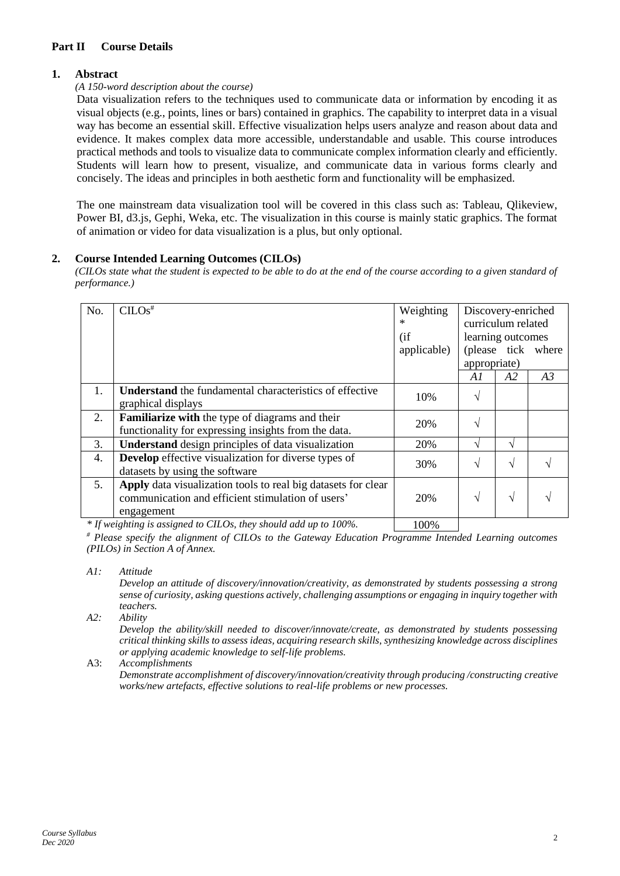# **Part II Course Details**

# **1. Abstract**

#### *(A 150-word description about the course)*

Data visualization refers to the techniques used to communicate data or information by encoding it as visual objects (e.g., points, lines or bars) contained in graphics. The capability to interpret data in a visual way has become an essential skill. Effective visualization helps users analyze and reason about data and evidence. It makes complex data more accessible, understandable and usable. This course introduces practical methods and tools to visualize data to communicate complex information clearly and efficiently. Students will learn how to present, visualize, and communicate data in various forms clearly and concisely. The ideas and principles in both aesthetic form and functionality will be emphasized.

The one mainstream data visualization tool will be covered in this class such as: Tableau, Qlikeview, Power BI, d3.js, Gephi, Weka, etc. The visualization in this course is mainly static graphics. The format of animation or video for data visualization is a plus, but only optional.

#### **2. Course Intended Learning Outcomes (CILOs)**

*(CILOs state what the student is expected to be able to do at the end of the course according to a given standard of performance.)*

| No. | $CLOS$ <sup>#</sup>                                              |                         | Weighting<br>Discovery-enriched |    |                    |  |
|-----|------------------------------------------------------------------|-------------------------|---------------------------------|----|--------------------|--|
|     |                                                                  | curriculum related<br>* |                                 |    |                    |  |
|     |                                                                  | (i f)                   | learning outcomes               |    |                    |  |
|     |                                                                  | applicable)             |                                 |    | (please tick where |  |
|     |                                                                  |                         | appropriate)                    |    |                    |  |
|     |                                                                  |                         | A1                              | A2 | A3                 |  |
| 1.  | <b>Understand</b> the fundamental characteristics of effective   |                         |                                 |    |                    |  |
|     | graphical displays                                               | 10%                     | V                               |    |                    |  |
| 2.  | Familiarize with the type of diagrams and their                  | 20%                     | $\mathcal{L}$                   |    |                    |  |
|     | functionality for expressing insights from the data.             |                         |                                 |    |                    |  |
| 3.  | <b>Understand</b> design principles of data visualization        | 20%                     | $\mathbf \Lambda$               | V  |                    |  |
| 4.  | <b>Develop</b> effective visualization for diverse types of      |                         | $\mathcal{L}$                   | N  |                    |  |
|     | datasets by using the software                                   | 30%                     |                                 |    |                    |  |
| 5.  | Apply data visualization tools to real big datasets for clear    |                         |                                 |    |                    |  |
|     | communication and efficient stimulation of users'                | 20%                     | $\sqrt{ }$                      | V  |                    |  |
|     | engagement                                                       |                         |                                 |    |                    |  |
|     | * If weighting is assigned to CILOs, they should add up to 100%. | 100%                    |                                 |    |                    |  |

*If weighting is assigned to CILOs, they should add up to 100%.* 100%

*# Please specify the alignment of CILOs to the Gateway Education Programme Intended Learning outcomes (PILOs) in Section A of Annex.* 

*A1: Attitude* 

*Develop an attitude of discovery/innovation/creativity, as demonstrated by students possessing a strong sense of curiosity, asking questions actively, challenging assumptions or engaging in inquiry together with teachers.*

*A2: Ability*

*Develop the ability/skill needed to discover/innovate/create, as demonstrated by students possessing critical thinking skills to assess ideas, acquiring research skills, synthesizing knowledge across disciplines or applying academic knowledge to self-life problems.*

A3: *Accomplishments*

*Demonstrate accomplishment of discovery/innovation/creativity through producing /constructing creative works/new artefacts, effective solutions to real-life problems or new processes.*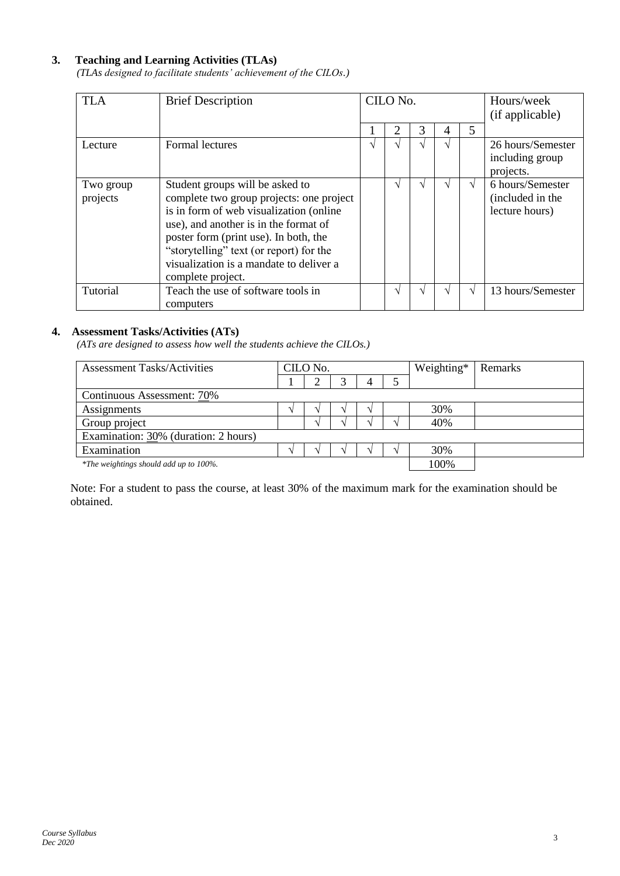# **3. Teaching and Learning Activities (TLAs)**

*(TLAs designed to facilitate students' achievement of the CILOs.)*

| <b>TLA</b>            | <b>Brief Description</b>                                                                                                                                                                                                                                                                                            | CILO No. |   | Hours/week<br>(if applicable) |               |   |                                                        |
|-----------------------|---------------------------------------------------------------------------------------------------------------------------------------------------------------------------------------------------------------------------------------------------------------------------------------------------------------------|----------|---|-------------------------------|---------------|---|--------------------------------------------------------|
|                       |                                                                                                                                                                                                                                                                                                                     |          | 2 | 3                             | 4             | 5 |                                                        |
| Lecture               | Formal lectures                                                                                                                                                                                                                                                                                                     | V        |   |                               | $\mathcal{N}$ |   | 26 hours/Semester<br>including group<br>projects.      |
| Two group<br>projects | Student groups will be asked to<br>complete two group projects: one project<br>is in form of web visualization (online<br>use), and another is in the format of<br>poster form (print use). In both, the<br>"storytelling" text (or report) for the<br>visualization is a mandate to deliver a<br>complete project. |          |   |                               |               | V | 6 hours/Semester<br>(included in the<br>lecture hours) |
| Tutorial              | Teach the use of software tools in<br>computers                                                                                                                                                                                                                                                                     |          |   |                               |               | V | 13 hours/Semester                                      |

#### **4. Assessment Tasks/Activities (ATs)**

*(ATs are designed to assess how well the students achieve the CILOs.)*

| <b>Assessment Tasks/Activities</b>     | CILO No. |  |  |  | Weighting* | Remarks |  |  |
|----------------------------------------|----------|--|--|--|------------|---------|--|--|
|                                        |          |  |  |  |            |         |  |  |
| Continuous Assessment: 70%             |          |  |  |  |            |         |  |  |
| Assignments                            |          |  |  |  |            | 30%     |  |  |
| Group project                          |          |  |  |  |            | 40%     |  |  |
| Examination: 30% (duration: 2 hours)   |          |  |  |  |            |         |  |  |
| Examination                            |          |  |  |  |            | 30%     |  |  |
| *The weightings should add up to 100%. |          |  |  |  | 100%       |         |  |  |

Note: For a student to pass the course, at least 30% of the maximum mark for the examination should be obtained.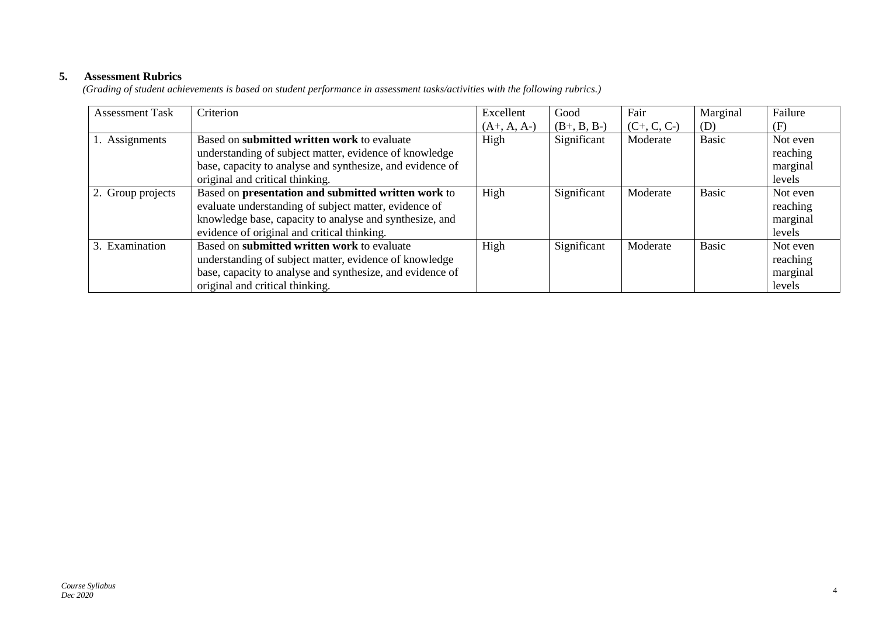# **5. Assessment Rubrics**

*(Grading of student achievements is based on student performance in assessment tasks/activities with the following rubrics.)*

| <b>Assessment Task</b> | Criterion                                                 | Excellent     | Good          | Fair          | Marginal     | Failure  |
|------------------------|-----------------------------------------------------------|---------------|---------------|---------------|--------------|----------|
|                        |                                                           | $(A+, A, A-)$ | $(B+, B, B-)$ | $(C+, C, C-)$ | (D)          | (F)      |
| 1. Assignments         | Based on submitted written work to evaluate               | High          | Significant   | Moderate      | <b>Basic</b> | Not even |
|                        | understanding of subject matter, evidence of knowledge    |               |               |               |              | reaching |
|                        | base, capacity to analyse and synthesize, and evidence of |               |               |               |              | marginal |
|                        | original and critical thinking.                           |               |               |               |              | levels   |
| 2. Group projects      | Based on presentation and submitted written work to       | High          | Significant   | Moderate      | <b>Basic</b> | Not even |
|                        | evaluate understanding of subject matter, evidence of     |               |               |               |              | reaching |
|                        | knowledge base, capacity to analyse and synthesize, and   |               |               |               |              | marginal |
|                        | evidence of original and critical thinking.               |               |               |               |              | levels   |
| 3. Examination         | Based on submitted written work to evaluate               | High          | Significant   | Moderate      | <b>Basic</b> | Not even |
|                        | understanding of subject matter, evidence of knowledge    |               |               |               |              | reaching |
|                        | base, capacity to analyse and synthesize, and evidence of |               |               |               |              | marginal |
|                        | original and critical thinking.                           |               |               |               |              | levels   |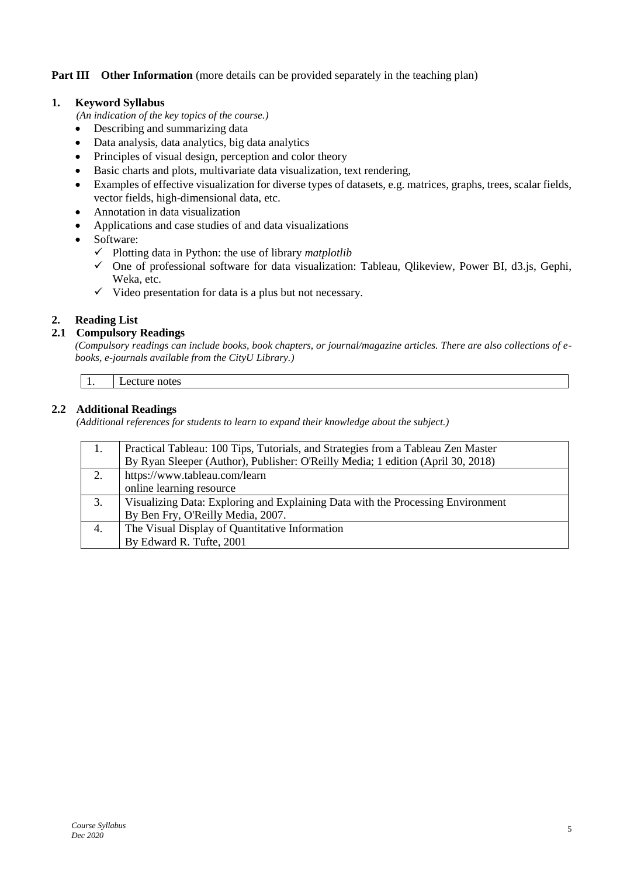# **Part III** Other Information (more details can be provided separately in the teaching plan)

# **1. Keyword Syllabus**

*(An indication of the key topics of the course.)*

- Describing and summarizing data
- Data analysis, data analytics, big data analytics
- Principles of visual design, perception and color theory
- Basic charts and plots, multivariate data visualization, text rendering,
- Examples of effective visualization for diverse types of datasets, e.g. matrices, graphs, trees, scalar fields, vector fields, high-dimensional data, etc.
- Annotation in data visualization
- Applications and case studies of and data visualizations
- Software:
	- ✓ Plotting data in Python: the use of library *matplotlib*
	- ✓ One of professional software for data visualization: Tableau, Qlikeview, Power BI, d3.js, Gephi, Weka, etc.
	- $\checkmark$  Video presentation for data is a plus but not necessary.

#### **2. Reading List**

#### **2.1 Compulsory Readings**

*(Compulsory readings can include books, book chapters, or journal/magazine articles. There are also collections of ebooks, e-journals available from the CityU Library.)* 

Lecture notes

#### **2.2 Additional Readings**

*(Additional references for students to learn to expand their knowledge about the subject.)*

| 1. | Practical Tableau: 100 Tips, Tutorials, and Strategies from a Tableau Zen Master |
|----|----------------------------------------------------------------------------------|
|    | By Ryan Sleeper (Author), Publisher: O'Reilly Media; 1 edition (April 30, 2018)  |
| 2. | https://www.tableau.com/learn                                                    |
|    | online learning resource                                                         |
| 3. | Visualizing Data: Exploring and Explaining Data with the Processing Environment  |
|    | By Ben Fry, O'Reilly Media, 2007.                                                |
| 4. | The Visual Display of Quantitative Information                                   |
|    | By Edward R. Tufte, 2001                                                         |